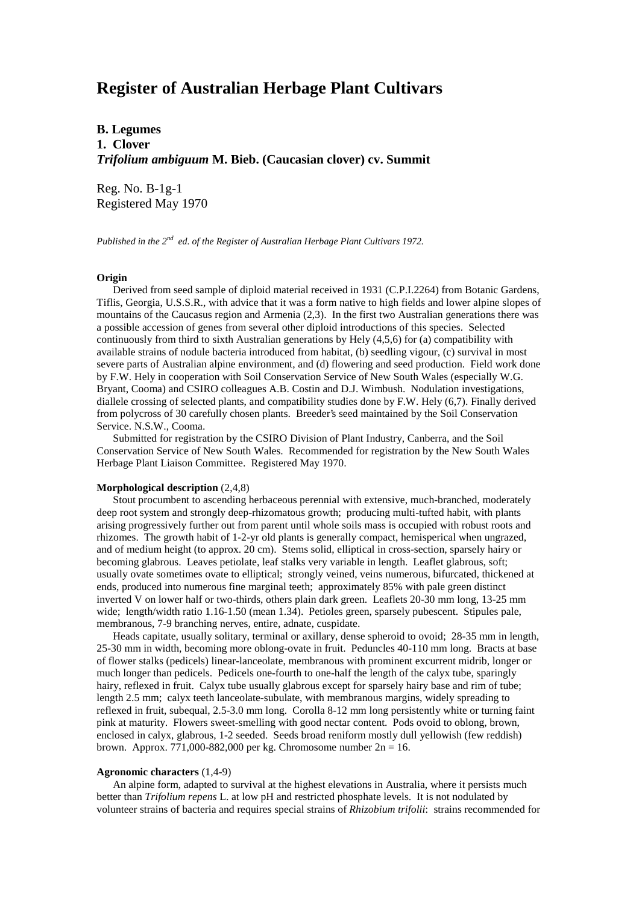# **Register of Australian Herbage Plant Cultivars**

**B. Legumes 1. Clover** *Trifolium ambiguum* **M. Bieb. (Caucasian clover) cv. Summit**

Reg. No. B-1g-1 Registered May 1970

*Published in the 2nd ed. of the Register of Australian Herbage Plant Cultivars 1972.*

### **Origin**

 Derived from seed sample of diploid material received in 1931 (C.P.I.2264) from Botanic Gardens, Tiflis, Georgia, U.S.S.R., with advice that it was a form native to high fields and lower alpine slopes of mountains of the Caucasus region and Armenia (2,3). In the first two Australian generations there was a possible accession of genes from several other diploid introductions of this species. Selected continuously from third to sixth Australian generations by Hely (4,5,6) for (a) compatibility with available strains of nodule bacteria introduced from habitat, (b) seedling vigour, (c) survival in most severe parts of Australian alpine environment, and (d) flowering and seed production. Field work done by F.W. Hely in cooperation with Soil Conservation Service of New South Wales (especially W.G. Bryant, Cooma) and CSIRO colleagues A.B. Costin and D.J. Wimbush. Nodulation investigations, diallele crossing of selected plants, and compatibility studies done by F.W. Hely (6,7). Finally derived from polycross of 30 carefully chosen plants. Breeder's seed maintained by the Soil Conservation Service. N.S.W., Cooma.

 Submitted for registration by the CSIRO Division of Plant Industry, Canberra, and the Soil Conservation Service of New South Wales. Recommended for registration by the New South Wales Herbage Plant Liaison Committee. Registered May 1970.

### **Morphological description** (2,4,8)

 Stout procumbent to ascending herbaceous perennial with extensive, much-branched, moderately deep root system and strongly deep-rhizomatous growth; producing multi-tufted habit, with plants arising progressively further out from parent until whole soils mass is occupied with robust roots and rhizomes. The growth habit of 1-2-yr old plants is generally compact, hemisperical when ungrazed, and of medium height (to approx. 20 cm). Stems solid, elliptical in cross-section, sparsely hairy or becoming glabrous. Leaves petiolate, leaf stalks very variable in length. Leaflet glabrous, soft; usually ovate sometimes ovate to elliptical; strongly veined, veins numerous, bifurcated, thickened at ends, produced into numerous fine marginal teeth; approximately 85% with pale green distinct inverted V on lower half or two-thirds, others plain dark green. Leaflets 20-30 mm long, 13-25 mm wide; length/width ratio 1.16-1.50 (mean 1.34). Petioles green, sparsely pubescent. Stipules pale, membranous, 7-9 branching nerves, entire, adnate, cuspidate.

 Heads capitate, usually solitary, terminal or axillary, dense spheroid to ovoid; 28-35 mm in length, 25-30 mm in width, becoming more oblong-ovate in fruit. Peduncles 40-110 mm long. Bracts at base of flower stalks (pedicels) linear-lanceolate, membranous with prominent excurrent midrib, longer or much longer than pedicels. Pedicels one-fourth to one-half the length of the calyx tube, sparingly hairy, reflexed in fruit. Calyx tube usually glabrous except for sparsely hairy base and rim of tube; length 2.5 mm; calyx teeth lanceolate-subulate, with membranous margins, widely spreading to reflexed in fruit, subequal, 2.5-3.0 mm long. Corolla 8-12 mm long persistently white or turning faint pink at maturity. Flowers sweet-smelling with good nectar content. Pods ovoid to oblong, brown, enclosed in calyx, glabrous, 1-2 seeded. Seeds broad reniform mostly dull yellowish (few reddish) brown. Approx. 771,000-882,000 per kg. Chromosome number  $2n = 16$ .

### **Agronomic characters** (1,4-9)

 An alpine form, adapted to survival at the highest elevations in Australia, where it persists much better than *Trifolium repens* L. at low pH and restricted phosphate levels. It is not nodulated by volunteer strains of bacteria and requires special strains of *Rhizobium trifolii*: strains recommended for